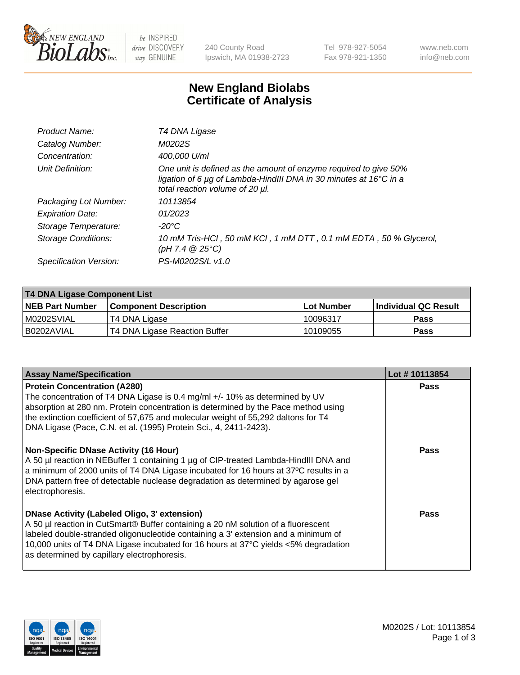

be INSPIRED drive DISCOVERY stay GENUINE

240 County Road Ipswich, MA 01938-2723 Tel 978-927-5054 Fax 978-921-1350 www.neb.com info@neb.com

## **New England Biolabs Certificate of Analysis**

| Product Name:              | T4 DNA Ligase                                                                                                                                                            |
|----------------------------|--------------------------------------------------------------------------------------------------------------------------------------------------------------------------|
| Catalog Number:            | M0202S                                                                                                                                                                   |
| Concentration:             | 400,000 U/ml                                                                                                                                                             |
| Unit Definition:           | One unit is defined as the amount of enzyme required to give 50%<br>ligation of 6 µg of Lambda-HindIII DNA in 30 minutes at 16°C in a<br>total reaction volume of 20 µl. |
| Packaging Lot Number:      | 10113854                                                                                                                                                                 |
| <b>Expiration Date:</b>    | 01/2023                                                                                                                                                                  |
| Storage Temperature:       | -20°C                                                                                                                                                                    |
| <b>Storage Conditions:</b> | 10 mM Tris-HCl, 50 mM KCl, 1 mM DTT, 0.1 mM EDTA, 50 % Glycerol,<br>(pH 7.4 $@25°C$ )                                                                                    |
| Specification Version:     | PS-M0202S/L v1.0                                                                                                                                                         |

| T4 DNA Ligase Component List |                               |            |                             |  |
|------------------------------|-------------------------------|------------|-----------------------------|--|
| <b>NEB Part Number</b>       | <b>Component Description</b>  | Lot Number | <b>Individual QC Result</b> |  |
| M0202SVIAL                   | T4 DNA Ligase                 | 10096317   | <b>Pass</b>                 |  |
| I B0202AVIAL                 | T4 DNA Ligase Reaction Buffer | 10109055   | <b>Pass</b>                 |  |

| <b>Assay Name/Specification</b>                                                                                                                                                                                                                                                                                                                                      | Lot #10113854 |
|----------------------------------------------------------------------------------------------------------------------------------------------------------------------------------------------------------------------------------------------------------------------------------------------------------------------------------------------------------------------|---------------|
| <b>Protein Concentration (A280)</b><br>The concentration of T4 DNA Ligase is 0.4 mg/ml +/- 10% as determined by UV<br>absorption at 280 nm. Protein concentration is determined by the Pace method using<br>the extinction coefficient of 57,675 and molecular weight of 55,292 daltons for T4<br>DNA Ligase (Pace, C.N. et al. (1995) Protein Sci., 4, 2411-2423).  | <b>Pass</b>   |
| <b>Non-Specific DNase Activity (16 Hour)</b><br>A 50 µl reaction in NEBuffer 1 containing 1 µg of CIP-treated Lambda-HindIII DNA and<br>a minimum of 2000 units of T4 DNA Ligase incubated for 16 hours at 37°C results in a<br>DNA pattern free of detectable nuclease degradation as determined by agarose gel<br>electrophoresis.                                 | <b>Pass</b>   |
| <b>DNase Activity (Labeled Oligo, 3' extension)</b><br>A 50 µl reaction in CutSmart® Buffer containing a 20 nM solution of a fluorescent<br>labeled double-stranded oligonucleotide containing a 3' extension and a minimum of<br>10,000 units of T4 DNA Ligase incubated for 16 hours at 37°C yields <5% degradation<br>as determined by capillary electrophoresis. | Pass          |

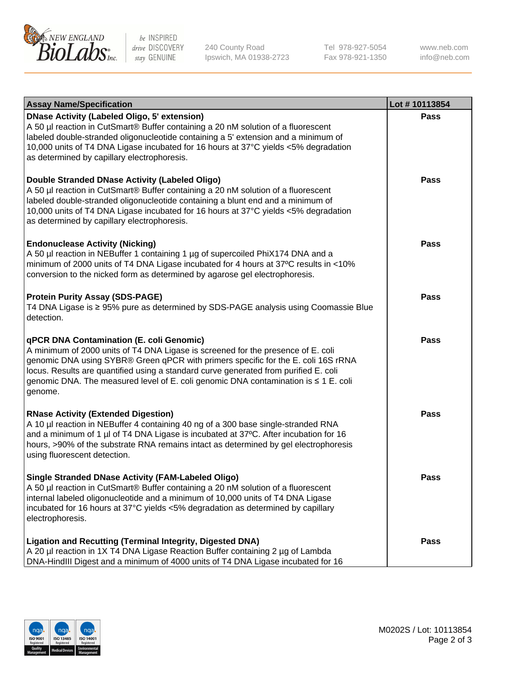

be INSPIRED drive DISCOVERY stay GENUINE

240 County Road Ipswich, MA 01938-2723 Tel 978-927-5054 Fax 978-921-1350 www.neb.com info@neb.com

| <b>Assay Name/Specification</b>                                                                                                                                                                                                                                                                                                                                                                             | Lot #10113854 |
|-------------------------------------------------------------------------------------------------------------------------------------------------------------------------------------------------------------------------------------------------------------------------------------------------------------------------------------------------------------------------------------------------------------|---------------|
| <b>DNase Activity (Labeled Oligo, 5' extension)</b><br>A 50 µl reaction in CutSmart® Buffer containing a 20 nM solution of a fluorescent<br>labeled double-stranded oligonucleotide containing a 5' extension and a minimum of<br>10,000 units of T4 DNA Ligase incubated for 16 hours at 37°C yields <5% degradation<br>as determined by capillary electrophoresis.                                        | Pass          |
| Double Stranded DNase Activity (Labeled Oligo)<br>A 50 µl reaction in CutSmart® Buffer containing a 20 nM solution of a fluorescent<br>labeled double-stranded oligonucleotide containing a blunt end and a minimum of<br>10,000 units of T4 DNA Ligase incubated for 16 hours at 37°C yields <5% degradation<br>as determined by capillary electrophoresis.                                                | <b>Pass</b>   |
| <b>Endonuclease Activity (Nicking)</b><br>A 50 µl reaction in NEBuffer 1 containing 1 µg of supercoiled PhiX174 DNA and a<br>minimum of 2000 units of T4 DNA Ligase incubated for 4 hours at 37°C results in <10%<br>conversion to the nicked form as determined by agarose gel electrophoresis.                                                                                                            | <b>Pass</b>   |
| <b>Protein Purity Assay (SDS-PAGE)</b><br>T4 DNA Ligase is ≥ 95% pure as determined by SDS-PAGE analysis using Coomassie Blue<br>detection.                                                                                                                                                                                                                                                                 | Pass          |
| qPCR DNA Contamination (E. coli Genomic)<br>A minimum of 2000 units of T4 DNA Ligase is screened for the presence of E. coli<br>genomic DNA using SYBR® Green qPCR with primers specific for the E. coli 16S rRNA<br>locus. Results are quantified using a standard curve generated from purified E. coli<br>genomic DNA. The measured level of E. coli genomic DNA contamination is ≤ 1 E. coli<br>genome. | Pass          |
| <b>RNase Activity (Extended Digestion)</b><br>A 10 µl reaction in NEBuffer 4 containing 40 ng of a 300 base single-stranded RNA<br>and a minimum of 1 µl of T4 DNA Ligase is incubated at 37°C. After incubation for 16<br>hours, >90% of the substrate RNA remains intact as determined by gel electrophoresis<br>using fluorescent detection.                                                             | <b>Pass</b>   |
| <b>Single Stranded DNase Activity (FAM-Labeled Oligo)</b><br>A 50 µl reaction in CutSmart® Buffer containing a 20 nM solution of a fluorescent<br>internal labeled oligonucleotide and a minimum of 10,000 units of T4 DNA Ligase<br>incubated for 16 hours at 37°C yields <5% degradation as determined by capillary<br>electrophoresis.                                                                   | Pass          |
| Ligation and Recutting (Terminal Integrity, Digested DNA)<br>A 20 µl reaction in 1X T4 DNA Ligase Reaction Buffer containing 2 µg of Lambda<br>DNA-HindIII Digest and a minimum of 4000 units of T4 DNA Ligase incubated for 16                                                                                                                                                                             | <b>Pass</b>   |